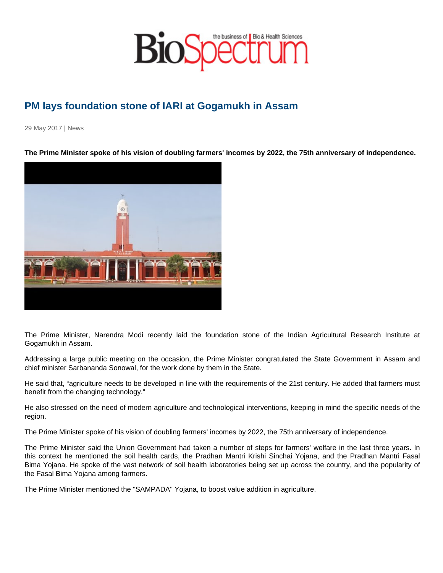## PM lays foundation stone of IARI at Gogamukh in Assam

29 May 2017 | News

The Prime Minister spoke of his vision of doubling farmers' incomes by 2022, the 75th anniversary of independence.

The Prime Minister, Narendra Modi recently laid the foundation stone of the Indian Agricultural Research Institute at Gogamukh in Assam.

Addressing a large public meeting on the occasion, the Prime Minister congratulated the State Government in Assam and chief minister Sarbananda Sonowal, for the work done by them in the State.

He said that, "agriculture needs to be developed in line with the requirements of the 21st century. He added that farmers must benefit from the changing technology."

He also stressed on the need of modern agriculture and technological interventions, keeping in mind the specific needs of the region.

The Prime Minister spoke of his vision of doubling farmers' incomes by 2022, the 75th anniversary of independence.

The Prime Minister said the Union Government had taken a number of steps for farmers' welfare in the last three years. In this context he mentioned the soil health cards, the Pradhan Mantri Krishi Sinchai Yojana, and the Pradhan Mantri Fasal Bima Yojana. He spoke of the vast network of soil health laboratories being set up across the country, and the popularity of the Fasal Bima Yojana among farmers.

The Prime Minister mentioned the "SAMPADA" Yojana, to boost value addition in agriculture.